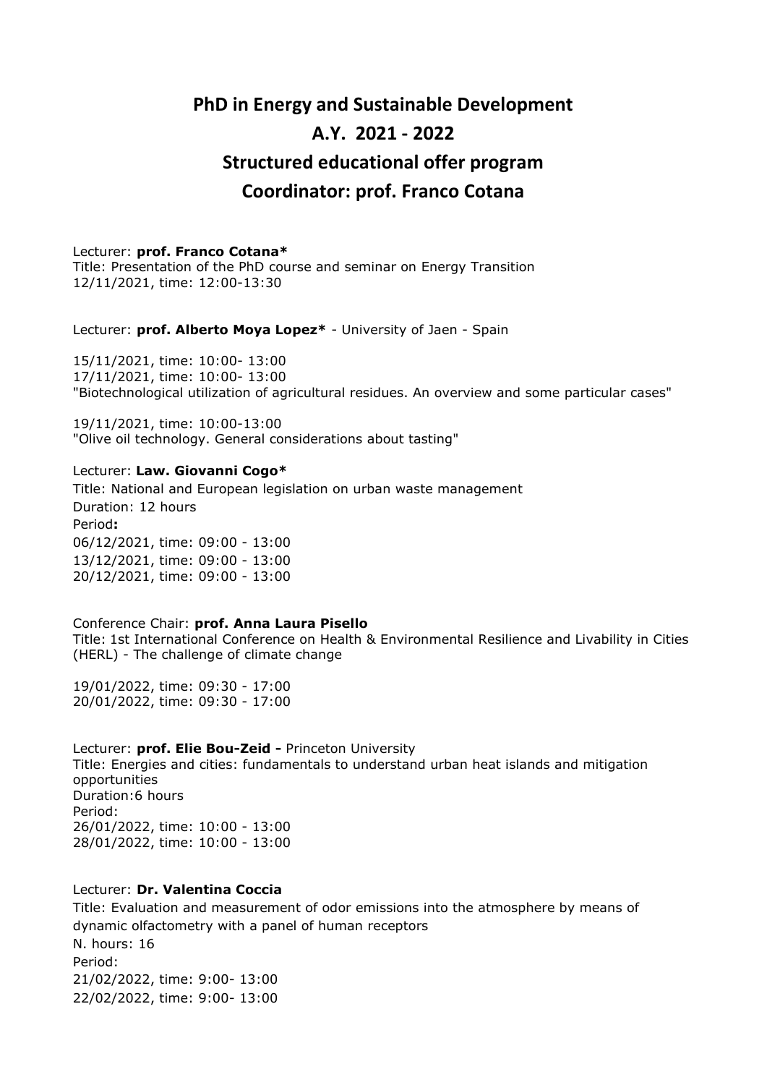# **PhD in Energy and Sustainable Development A.Y. 2021 - 2022 Structured educational offer program Coordinator: prof. Franco Cotana**

# Lecturer: **prof. Franco Cotana\***

Title: Presentation of the PhD course and seminar on Energy Transition 12/11/2021, time: 12:00-13:30

Lecturer: **prof. Alberto Moya Lopez\*** - University of Jaen - Spain

15/11/2021, time: 10:00- 13:00 17/11/2021, time: 10:00- 13:00 "Biotechnological utilization of agricultural residues. An overview and some particular cases"

19/11/2021, time: 10:00-13:00 "Olive oil technology. General considerations about tasting"

# Lecturer: **Law. Giovanni Cogo\***

Title: National and European legislation on urban waste management Duration: 12 hours Period**:** 06/12/2021, time: 09:00 - 13:00 13/12/2021, time: 09:00 - 13:00 20/12/2021, time: 09:00 - 13:00

#### Conference Chair: **prof. Anna Laura Pisello** Title: 1st International Conference on Health & Environmental Resilience and Livability in Cities (HERL) - The challenge of climate change

19/01/2022, time: 09:30 - 17:00 20/01/2022, time: 09:30 - 17:00

Lecturer: **prof. Elie Bou-Zeid -** Princeton University Title: Energies and cities: fundamentals to understand urban heat islands and mitigation opportunities Duration:6 hours Period: 26/01/2022, time: 10:00 - 13:00 28/01/2022, time: 10:00 - 13:00

#### Lecturer: **Dr. Valentina Coccia**

Title: Evaluation and measurement of odor emissions into the atmosphere by means of dynamic olfactometry with a panel of human receptors N. hours: 16 Period: 21/02/2022, time: 9:00- 13:00 22/02/2022, time: 9:00- 13:00